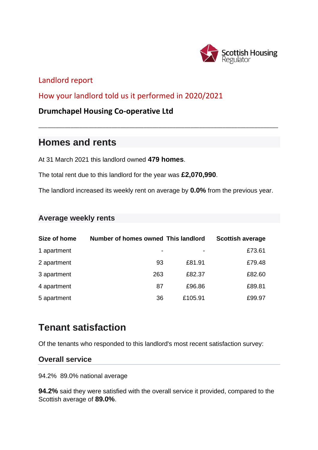

## Landlord report

How your landlord told us it performed in 2020/2021

## **Drumchapel Housing Co-operative Ltd**

## **Homes and rents**

At 31 March 2021 this landlord owned **479 homes**.

The total rent due to this landlord for the year was **£2,070,990**.

The landlord increased its weekly rent on average by **0.0%** from the previous year.

\_\_\_\_\_\_\_\_\_\_\_\_\_\_\_\_\_\_\_\_\_\_\_\_\_\_\_\_\_\_\_\_\_\_\_\_\_\_\_\_\_\_\_\_\_\_\_\_\_\_\_\_\_\_\_\_\_\_\_\_\_\_\_\_\_\_\_\_\_\_\_\_\_\_\_\_\_\_\_\_\_\_

## **Average weekly rents**

| Size of home | Number of homes owned This landlord |         | <b>Scottish average</b> |
|--------------|-------------------------------------|---------|-------------------------|
| I apartment  | $\sim$                              | $\sim$  | £73.61                  |
| 2 apartment  | 93                                  | £81.91  | £79.48                  |
| 3 apartment  | 263                                 | £82.37  | £82.60                  |
| 4 apartment  | 87                                  | £96.86  | £89.81                  |
| 5 apartment  | 36                                  | £105.91 | £99.97                  |

## **Tenant satisfaction**

Of the tenants who responded to this landlord's most recent satisfaction survey:

## **Overall service**

94.2% 89.0% national average

**94.2%** said they were satisfied with the overall service it provided, compared to the Scottish average of **89.0%**.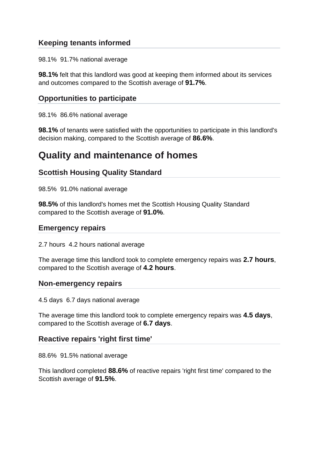## **Keeping tenants informed**

98.1% 91.7% national average

**98.1%** felt that this landlord was good at keeping them informed about its services and outcomes compared to the Scottish average of **91.7%**.

## **Opportunities to participate**

98.1% 86.6% national average

**98.1%** of tenants were satisfied with the opportunities to participate in this landlord's decision making, compared to the Scottish average of **86.6%**.

## **Quality and maintenance of homes**

## **Scottish Housing Quality Standard**

98.5% 91.0% national average

**98.5%** of this landlord's homes met the Scottish Housing Quality Standard compared to the Scottish average of **91.0%**.

#### **Emergency repairs**

2.7 hours 4.2 hours national average

The average time this landlord took to complete emergency repairs was **2.7 hours**, compared to the Scottish average of **4.2 hours**.

#### **Non-emergency repairs**

4.5 days 6.7 days national average

The average time this landlord took to complete emergency repairs was **4.5 days**, compared to the Scottish average of **6.7 days**.

#### **Reactive repairs 'right first time'**

88.6% 91.5% national average

This landlord completed **88.6%** of reactive repairs 'right first time' compared to the Scottish average of **91.5%**.